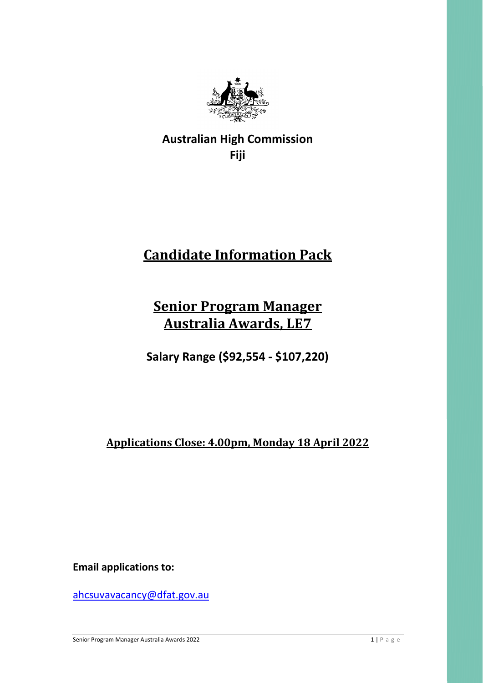

**Australian High Commission Fiji** 

# **Candidate Information Pack**

## **Senior Program Manager Australia Awards, LE7**

**Salary Range (\$92,554 - \$107,220)** 

**Applications Close: 4.00pm, Monday 18 April 2022**

**Email applications to:** 

[ahcsuvavacancy@dfat.gov.au](mailto:ahcsuvavacancy@dfat.gov.au)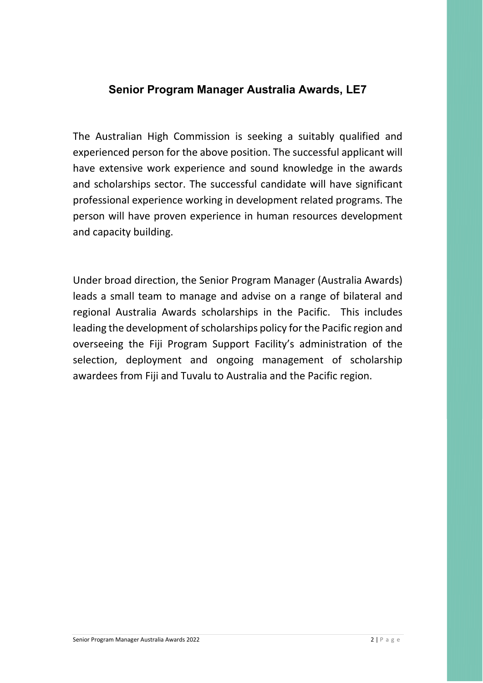### **Senior Program Manager Australia Awards, LE7**

The Australian High Commission is seeking a suitably qualified and experienced person for the above position. The successful applicant will have extensive work experience and sound knowledge in the awards and scholarships sector. The successful candidate will have significant professional experience working in development related programs. The person will have proven experience in human resources development and capacity building.

Under broad direction, the Senior Program Manager (Australia Awards) leads a small team to manage and advise on a range of bilateral and regional Australia Awards scholarships in the Pacific. This includes leading the development of scholarships policy for the Pacific region and overseeing the Fiji Program Support Facility's administration of the selection, deployment and ongoing management of scholarship awardees from Fiji and Tuvalu to Australia and the Pacific region.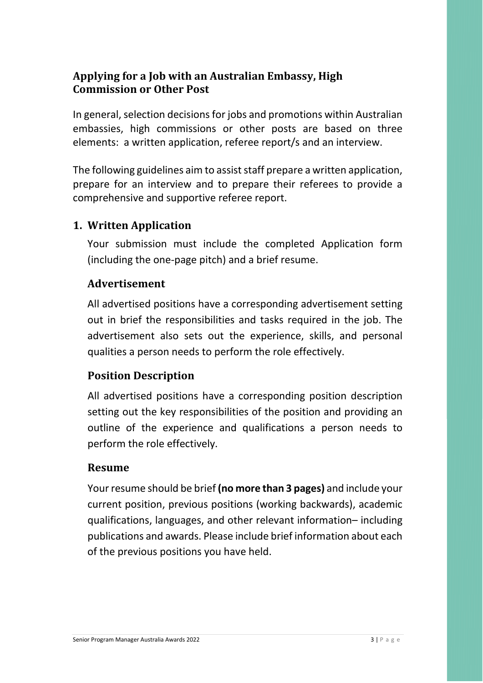## **Applying for a Job with an Australian Embassy, High Commission or Other Post**

In general, selection decisions for jobs and promotions within Australian embassies, high commissions or other posts are based on three elements: a written application, referee report/s and an interview.

The following guidelines aim to assist staff prepare a written application, prepare for an interview and to prepare their referees to provide a comprehensive and supportive referee report.

## **1. Written Application**

Your submission must include the completed Application form (including the one-page pitch) and a brief resume.

## **Advertisement**

All advertised positions have a corresponding advertisement setting out in brief the responsibilities and tasks required in the job. The advertisement also sets out the experience, skills, and personal qualities a person needs to perform the role effectively.

## **Position Description**

All advertised positions have a corresponding position description setting out the key responsibilities of the position and providing an outline of the experience and qualifications a person needs to perform the role effectively.

## **Resume**

Your resume should be brief **(no more than 3 pages)** and include your current position, previous positions (working backwards), academic qualifications, languages, and other relevant information– including publications and awards. Please include brief information about each of the previous positions you have held.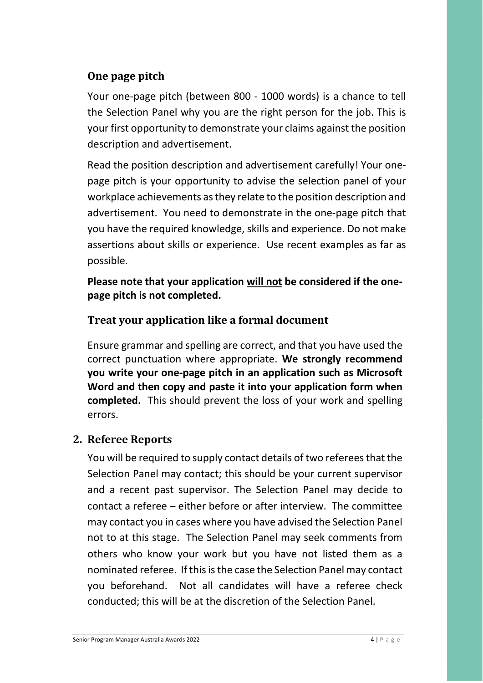## **One page pitch**

Your one-page pitch (between 800 - 1000 words) is a chance to tell the Selection Panel why you are the right person for the job. This is your first opportunity to demonstrate your claims against the position description and advertisement.

Read the position description and advertisement carefully! Your onepage pitch is your opportunity to advise the selection panel of your workplace achievements as they relate to the position description and advertisement. You need to demonstrate in the one-page pitch that you have the required knowledge, skills and experience. Do not make assertions about skills or experience. Use recent examples as far as possible.

**Please note that your application will not be considered if the onepage pitch is not completed.**

## **Treat your application like a formal document**

Ensure grammar and spelling are correct, and that you have used the correct punctuation where appropriate. **We strongly recommend you write your one-page pitch in an application such as Microsoft Word and then copy and paste it into your application form when completed.** This should prevent the loss of your work and spelling errors.

#### **2. Referee Reports**

You will be required to supply contact details of two referees that the Selection Panel may contact; this should be your current supervisor and a recent past supervisor. The Selection Panel may decide to contact a referee – either before or after interview. The committee may contact you in cases where you have advised the Selection Panel not to at this stage. The Selection Panel may seek comments from others who know your work but you have not listed them as a nominated referee. If this is the case the Selection Panel may contact you beforehand. Not all candidates will have a referee check conducted; this will be at the discretion of the Selection Panel.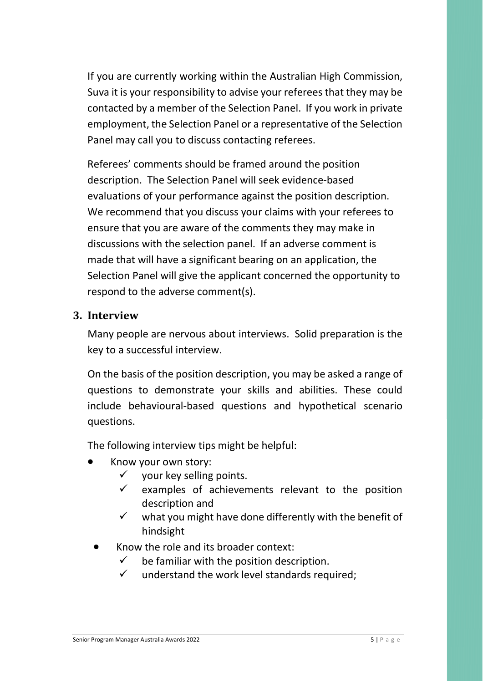If you are currently working within the Australian High Commission, Suva it is your responsibility to advise your referees that they may be contacted by a member of the Selection Panel. If you work in private employment, the Selection Panel or a representative of the Selection Panel may call you to discuss contacting referees.

Referees' comments should be framed around the position description. The Selection Panel will seek evidence-based evaluations of your performance against the position description. We recommend that you discuss your claims with your referees to ensure that you are aware of the comments they may make in discussions with the selection panel. If an adverse comment is made that will have a significant bearing on an application, the Selection Panel will give the applicant concerned the opportunity to respond to the adverse comment(s).

#### **3. Interview**

Many people are nervous about interviews. Solid preparation is the key to a successful interview.

On the basis of the position description, you may be asked a range of questions to demonstrate your skills and abilities. These could include behavioural-based questions and hypothetical scenario questions.

The following interview tips might be helpful:

- Know your own story:
	- $\checkmark$  vour key selling points.
	- $\checkmark$  examples of achievements relevant to the position description and
	- $\checkmark$  what you might have done differently with the benefit of hindsight
- Know the role and its broader context:
	- $\checkmark$  be familiar with the position description.
	- $\checkmark$  understand the work level standards required;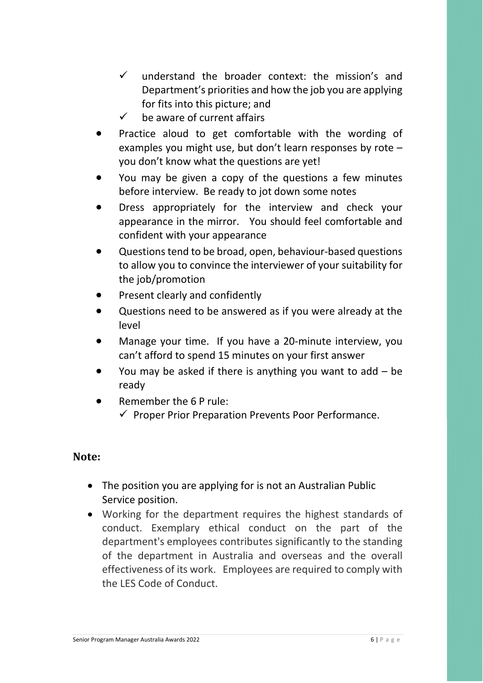- $\checkmark$  understand the broader context: the mission's and Department's priorities and how the job you are applying for fits into this picture; and
- $\checkmark$  be aware of current affairs
- Practice aloud to get comfortable with the wording of examples you might use, but don't learn responses by rote – you don't know what the questions are yet!
- You may be given a copy of the questions a few minutes before interview. Be ready to jot down some notes
- Dress appropriately for the interview and check your appearance in the mirror. You should feel comfortable and confident with your appearance
- Questions tend to be broad, open, behaviour-based questions to allow you to convince the interviewer of your suitability for the job/promotion
- Present clearly and confidently
- Questions need to be answered as if you were already at the level
- Manage your time. If you have a 20-minute interview, you can't afford to spend 15 minutes on your first answer
- You may be asked if there is anything you want to add  $-$  be ready
- Remember the 6 P rule:  $\checkmark$  Proper Prior Preparation Prevents Poor Performance.

#### **Note:**

- The position you are applying for is not an Australian Public Service position.
- Working for the department requires the highest standards of conduct. Exemplary ethical conduct on the part of the department's employees contributes significantly to the standing of the department in Australia and overseas and the overall effectiveness of its work. Employees are required to comply with the LES Code of Conduct.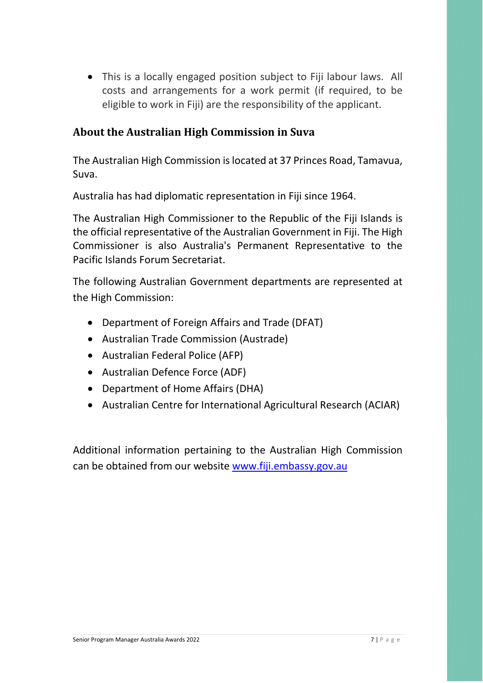• This is a locally engaged position subject to Fiji labour laws. All costs and arrangements for a work permit (if required, to be eligible to work in Fiji) are the responsibility of the applicant.

## **About the Australian High Commission in Suva**

The Australian High Commission is located at 37 Princes Road, Tamavua, Suva.

Australia has had diplomatic representation in Fiji since 1964.

The Australian High Commissioner to the Republic of the Fiji Islands is the official representative of the Australian Government in Fiji. The High Commissioner is also Australia's Permanent Representative to the Pacific Islands Forum Secretariat.

The following Australian Government departments are represented at the High Commission:

- [Department of Foreign Affairs and Trade \(DFAT\)](http://dfat.gov.au/pages/default.aspx)
- [Australian Trade Commission \(Austrade\)](http://www.austrade.gov.au/)
- [Australian Federal Police \(AFP\)](http://www.afp.gov.au/)
- [Australian](http://www.defence.gov.au/) Defence Force (ADF)
- [Department of Home Affairs](http://www.border.gov.au/) (DHA)
- Australian Centre for International Agricultural Research (ACIAR)

Additional information pertaining to the Australian High Commission can be obtained from our website [www.fiji.embassy.gov.au](http://www.fiji.embassy.gov.au/)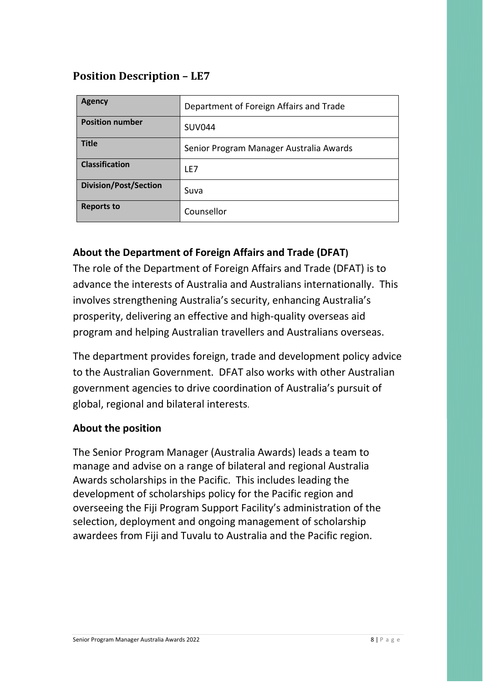## **Position Description – LE7**

| <b>Agency</b>                | Department of Foreign Affairs and Trade |
|------------------------------|-----------------------------------------|
| <b>Position number</b>       | <b>SUV044</b>                           |
| <b>Title</b>                 | Senior Program Manager Australia Awards |
| <b>Classification</b>        | LE7                                     |
| <b>Division/Post/Section</b> | Suva                                    |
| <b>Reports to</b>            | Counsellor                              |

## **About the Department of Foreign Affairs and Trade (DFAT)**

The role of the Department of Foreign Affairs and Trade (DFAT) is to advance the interests of Australia and Australians internationally. This involves strengthening Australia's security, enhancing Australia's prosperity, delivering an effective and high-quality overseas aid program and helping Australian travellers and Australians overseas.

The department provides foreign, trade and development policy advice to the Australian Government. DFAT also works with other Australian government agencies to drive coordination of Australia's pursuit of global, regional and bilateral interests.

#### **About the position**

The Senior Program Manager (Australia Awards) leads a team to manage and advise on a range of bilateral and regional Australia Awards scholarships in the Pacific. This includes leading the development of scholarships policy for the Pacific region and overseeing the Fiji Program Support Facility's administration of the selection, deployment and ongoing management of scholarship awardees from Fiji and Tuvalu to Australia and the Pacific region.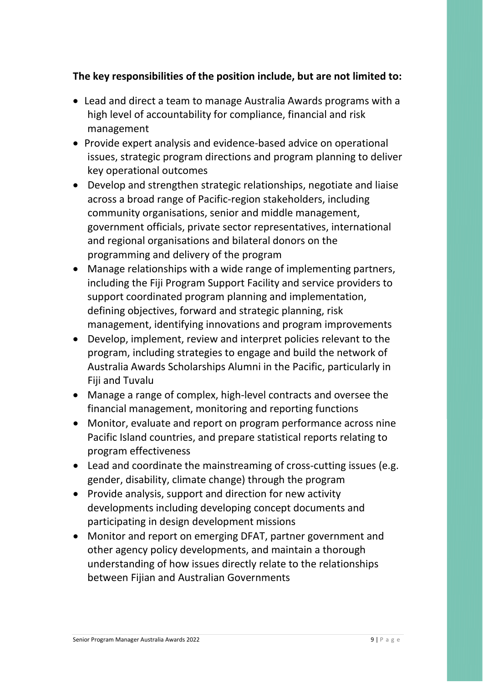## **The key responsibilities of the position include, but are not limited to:**

- Lead and direct a team to manage Australia Awards programs with a high level of accountability for compliance, financial and risk management
- Provide expert analysis and evidence-based advice on operational issues, strategic program directions and program planning to deliver key operational outcomes
- Develop and strengthen strategic relationships, negotiate and liaise across a broad range of Pacific-region stakeholders, including community organisations, senior and middle management, government officials, private sector representatives, international and regional organisations and bilateral donors on the programming and delivery of the program
- Manage relationships with a wide range of implementing partners, including the Fiji Program Support Facility and service providers to support coordinated program planning and implementation, defining objectives, forward and strategic planning, risk management, identifying innovations and program improvements
- Develop, implement, review and interpret policies relevant to the program, including strategies to engage and build the network of Australia Awards Scholarships Alumni in the Pacific, particularly in Fiji and Tuvalu
- Manage a range of complex, high-level contracts and oversee the financial management, monitoring and reporting functions
- Monitor, evaluate and report on program performance across nine Pacific Island countries, and prepare statistical reports relating to program effectiveness
- Lead and coordinate the mainstreaming of cross-cutting issues (e.g. gender, disability, climate change) through the program
- Provide analysis, support and direction for new activity developments including developing concept documents and participating in design development missions
- Monitor and report on emerging DFAT, partner government and other agency policy developments, and maintain a thorough understanding of how issues directly relate to the relationships between Fijian and Australian Governments